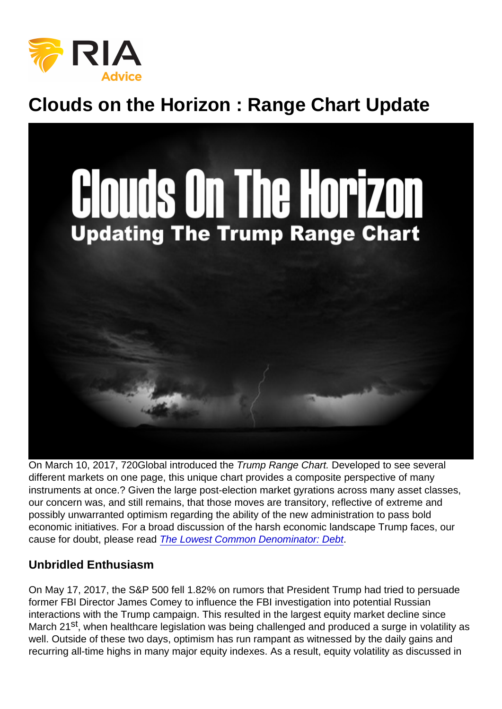# Clouds on the Horizon : Range Chart Update

On March 10, 2017, 720Global introduced the Trump Range Chart. Developed to see several different markets on one page, this unique chart provides a composite perspective of many instruments at once.? Given the large post-election market gyrations across many asset classes, our concern was, and still remains, that those moves are transitory, reflective of extreme and possibly unwarranted optimism regarding the ability of the new administration to pass bold economic initiatives. For a broad discussion of the harsh economic landscape Trump faces, our cause for doubt, please read [The Lowest Common Denominator: Debt.](https://www.720global.com/article/the-lowest-common-denominator-debt-591a63816e34a)

### Unbridled Enthusiasm

On May 17, 2017, the S&P 500 fell 1.82% on rumors that President Trump had tried to persuade former FBI Director James Comey to influence the FBI investigation into potential Russian interactions with the Trump campaign. This resulted in the largest equity market decline since March 21<sup>st</sup>, when healthcare legislation was being challenged and produced a surge in volatility as well. Outside of these two days, optimism has run rampant as witnessed by the daily gains and recurring all-time highs in many major equity indexes. As a result, equity volatility as discussed in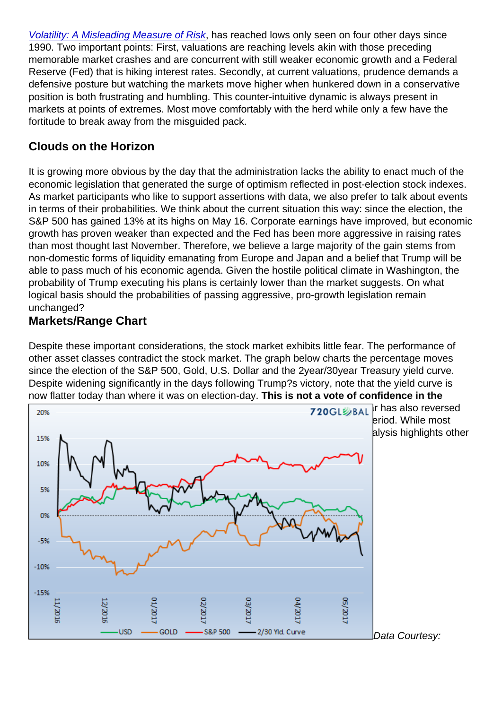[Volatility: A Misleading Measure of Risk](https://www.720global.com/article/volatility-a-misleading-measure-of-risk-5919f988c82f6), has reached lows only seen on four other days since 1990. Two important points: First, valuations are reaching levels akin with those preceding memorable market crashes and are concurrent with still weaker economic growth and a Federal Reserve (Fed) that is hiking interest rates. Secondly, at current valuations, prudence demands a defensive posture but watching the markets move higher when hunkered down in a conservative position is both frustrating and humbling. This counter-intuitive dynamic is always present in markets at points of extremes. Most move comfortably with the herd while only a few have the fortitude to break away from the misguided pack.

## Clouds on the Horizon

It is growing more obvious by the day that the administration lacks the ability to enact much of the economic legislation that generated the surge of optimism reflected in post-election stock indexes. As market participants who like to support assertions with data, we also prefer to talk about events in terms of their probabilities. We think about the current situation this way: since the election, the S&P 500 has gained 13% at its highs on May 16. Corporate earnings have improved, but economic growth has proven weaker than expected and the Fed has been more aggressive in raising rates than most thought last November. Therefore, we believe a large majority of the gain stems from non-domestic forms of liquidity emanating from Europe and Japan and a belief that Trump will be able to pass much of his economic agenda. Given the hostile political climate in Washington, the probability of Trump executing his plans is certainly lower than the market suggests. On what logical basis should the probabilities of passing aggressive, pro-growth legislation remain unchanged?

### Markets/Range Chart

Despite these important considerations, the stock market exhibits little fear. The performance of other asset classes contradict the stock market. The graph below charts the percentage moves since the election of the S&P 500, Gold, U.S. Dollar and the 2year/30year Treasury yield curve. Despite widening significantly in the days following Trump?s victory, note that the yield curve is now flatter today than where it was on election-day. This is not a vote of confidence in the higher growth/reflation outlook that has bolstered stocks . The U.S. Dollar has also reversed [the entirety of its post-Trump gains and gold is nearing breakeven over this pe](https://realinvestmentadvice.com/wp-content/uploads/2017/05/Clouds-on-the-Horizon-range-chart-5.23.17.png)riod. While most investors pay close attention to stock prices and possibly bond yields, this analysis highlights other asset market signals that warrant attention.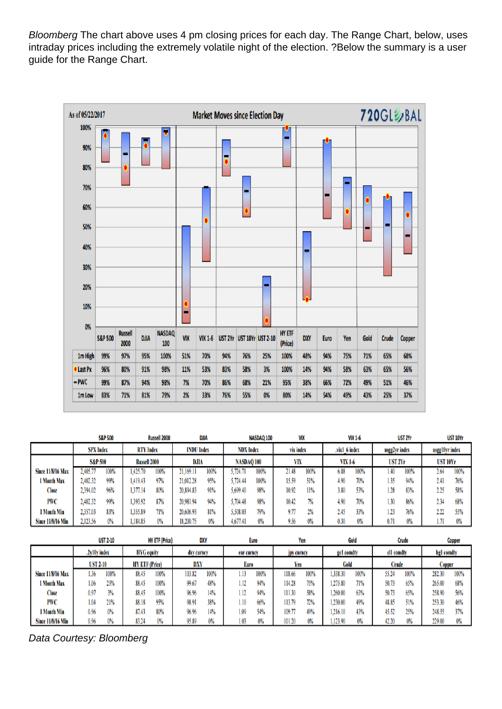Bloomberg The chart above uses 4 pm closing prices for each day. The Range Chart, below, uses intraday prices including the extremely volatile night of the election. ?Below the summary is a user guide for the Range Chart.

Data Courtesy: Bloomberg